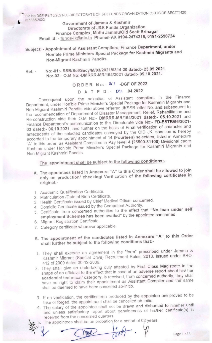File No.DGF-PS/10/2021-06-DIRECTORATE OF J&K FUNDS ORGANIZATION (OUTSIDE SECTT)420 - 1/15338/2022

Government of Jammu & Kashmir Directorate of J&K Funds Organization Finance Complex, Muthi Jammu/Old Sectt Srinagar Email id: - funds-jk@nic.in Phone/FAX 0194-2474215, 0191-2598724

- Subject: Appointment of Assistant Compilers, Finance Department, under Hon'bie Prime Ministers Special Package for Kashmiri Migrants and Non-Migrant Kashmiri Pandits.
- $Ret: -$  No:-01:- SSB/Sel/Secy/M/03/2021 -120091 -1201 05:40.2021 No:-02:- O.M No:-DMRRR-MR/154/2021 dated:- 05.10.2021.

## ORDER No: -  $51$  -DGF OF 2022

#### DATED:- 07- .04.2022

Consequent upon the selection of Assistant compilers in the Finance Department, under Hon'bie Prime Minister's Special Package for Kashmiri Migrants and Non-Migrant Kashmiri Pandits vide above referred JKSSB letter No. and subsequent to the recommendation of Department of Disaster Management, Relief, Rehabilitation and Re-construction vide their O.M No:- DMRRR-MR/154/2021 dated:- 05.10.2021 and Finance Department's communication to this Directorate vide No:- FD-ESTB/56/2021-<br>03 dated:- 06.10.2021, and further on the basis of Final verification of character and 03 dated:- 06.10.2021, and further on the basis of Final verification of character and antecedents of the selected candidates conveyed by the CID JK, sanction is hereby accorded to the temporary appointment of 14 (Fourteen) selectees, listed in Annexure "A" to this order, as Assistant Compilers in Pay level 4 (25500-81100) Divisional cadre Kashmir under Hon'bie Prime Minister's Special Package for Kashmiri Migrants and Non-Migrant Kashmiri Pandits.

## The appointment shall be subiect to the following conditions:-

- A. The appointees listed in Annexure "A" to this Order shall be allowed to join only on production/ checking/ Verification of the following certificates in original:-
- 1. Academic Qualification Certificate.
- 2. Matriculation /Date of Birth Certificate.
- 3. Health Certificate issued by Chief Medical Officer concerned.
- 4. Domicile Certificate issued by the Competent Authority.
- 5. Certificate from concerned authorities to the effect that "No loan under self employment Schemes has been availed" by the appointee concerned.
- 6. Migrant Registration Certificate.
- 7. Category certificate wherever applicable.
- B. The appointment of the candidates listed in Annexure "A" to this Order shall further be subject to the following conditions that:-
- 1. They shall execute an agreement in the "form" prescribed under Jammu & Kashmir Migrant (Special Drive) Recruitment Rules, 2013, Issued under SRO-412 of 2009 dated 30-12-2009.
- 2. They shall give an undertaking duly attested by First Class Magistrate in the line shape of an affidavit to the effect that in case of an adverse report about his/ her academic/ technical/ category, is received, from concerned authority, they shall have no right to claim their appointment as Assistant Compiler and the same shall be deemed to have been cancelled ab-initio.
- 3. If on verification, the certificate(s) produced by the appointee are proved to be fake or forged, the appointment shall be cancelled ab-initio.
- 4. The salary of the appointee shall not be drawn and disbursed to him/her until and unless satisfactory report about genuineness of his/her certificate(s) is received from the concerned quarters.
- The appointees shall be on probation for a period of 02 years.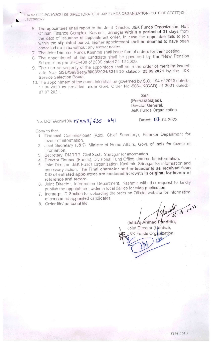File NO.DGF-PS/10/2021-06-DIRECTORATE OF J&K FUNDS ORGANIZATION (OUTSIDE SECTT)421 1/15338/2022

- 6. The appointees shall report to the Joint Director, J&K Funds Organization, Haft Chinar, Finance Complex, Kashmir, Srinagar within a period of 21 days from the date of issuance of appointment order. In case the appointee fails to join within the stipulated period, his/her appointment shall be deemed to have been cancelled ab-initio without any further notice
- 7. The Joint Director. Funds Kashmir shall issue formal orders for their posting .
- 8. The appointment of the candidate shall be governed by the "New Pension Scheme" as per SRO-400 of 2009 dated 24-12-2009,
- 9. The inter-se-seniority of the appointees shall be in the order of merit list issued vide No:- SSB/Sel/Secy/M/03/2021/6314-20 dated:- 23.09.2021 by the J&K Service Selection Board.
- 10.The appointment of the candidate shall be governed by S.O, 194 of 2020 dated;- 17.06.2020 as provided under Govt. Order No:-586-JK(GAD) cf 2021 dated:- 07.07.2021.

Sd/- (Pervaiz Sajad), Director General, J&K Funds Organization.

# No. DGF/Adm/199/15338 635 - 641 Dated: 07.04.2022

Copy to the:-

- 1. Financial Commissioner (Add). Chief Secretary), Finance Department for favour of information.
- 2. Joint Secretary (J&K), Ministry of Home Affairs, Govt. of India for favour of information.
- 3. Secretary, DMRRR, Civil Sectt. Srinagar for information,
- 4. Director Finance (Funds), Divisional Fund Office, Jammu for information.
- 5^ Joint Director. J&K Funds Organization, Kashmir, Srinagar for information and necessary action. The Final character and antecedents as received from CID of enlisted appointees are enclosed herewith in original for favour of reference and record.
- 6- Joint Director, Information Department, Kashmir with the request to kindly publish the appointment order in local dailies for wide publication.
- 7. Incharge, IT Section for uploading the order on Official website for information of concerned appointed candidates.
- 8. Order file/ personal file.

(Ishfaq Ahmad Pandith),

Joint Director (Gentral), &K Funds Organization.